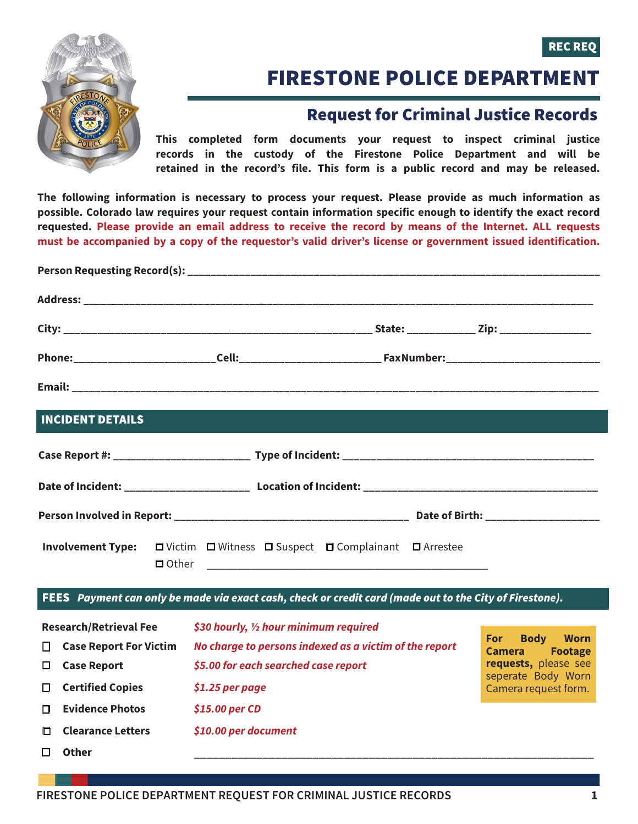



## FIRESTONE POLICE DEPARTMENT

## Request for Criminal Justice Records

**This completed form documents your request to inspect criminal justice records in the custody of the Firestone Police Department and will be retained in the record's file. This form is a public record and may be released.** 

**The following information is necessary to process your request. Please provide as much information as possible. Colorado law requires your request contain information specific enough to identify the exact record requested. Please provide an email address to receive the record by means of the Internet. ALL requests must be accompanied by a copy of the requestor's valid driver's license or government issued identification.**

| <b>INCIDENT DETAILS</b> |  |                                                                         |  |
|-------------------------|--|-------------------------------------------------------------------------|--|
|                         |  |                                                                         |  |
|                         |  |                                                                         |  |
|                         |  |                                                                         |  |
|                         |  | Involvement Type: □ Victim □ Witness □ Suspect □ Complainant □ Arrestee |  |

## FEES *Payment can only be made via exact cash, check or credit card (made out to the City of Firestone).*

| <b>Research/Retrieval Fee</b> | \$30 hourly, $\frac{1}{2}$ hour minimum required       |                                                                             |
|-------------------------------|--------------------------------------------------------|-----------------------------------------------------------------------------|
| <b>Case Report For Victim</b> | No charge to persons indexed as a victim of the report | <b>Worn</b><br><b>Body</b><br><b>For</b><br><b>Footage</b><br><b>Camera</b> |
| <b>Case Report</b>            | \$5.00 for each searched case report                   | requests, please see                                                        |
| <b>Certified Copies</b>       | $$1.25$ per page                                       | seperate Body Worn<br>Camera request form.                                  |
| <b>Evidence Photos</b>        | $$15.00$ per CD                                        |                                                                             |
| <b>Clearance Letters</b>      | \$10.00 per document                                   |                                                                             |
| Other                         |                                                        |                                                                             |